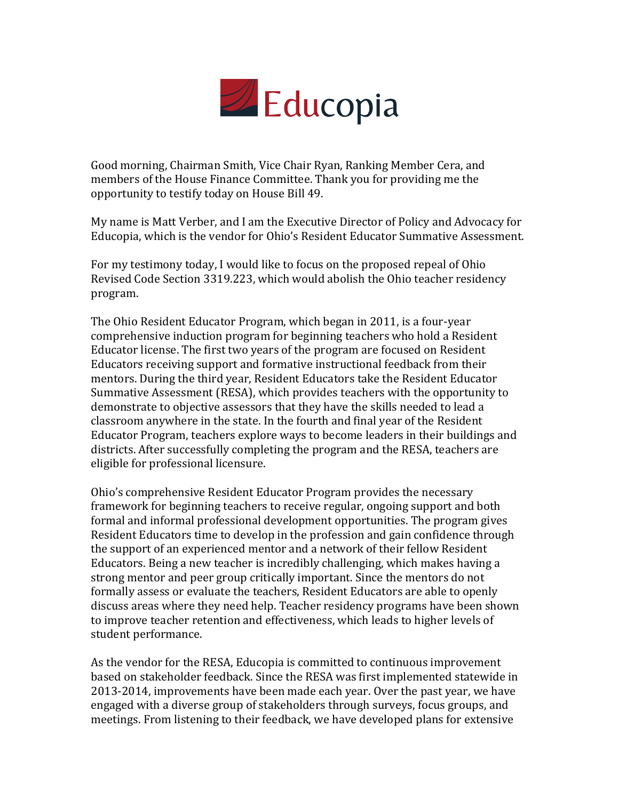

Good morning, Chairman Smith, Vice Chair Ryan, Ranking Member Cera, and members of the House Finance Committee. Thank you for providing me the opportunity to testify today on House Bill 49.

My name is Matt Verber, and I am the Executive Director of Policy and Advocacy for Educopia, which is the vendor for Ohio's Resident Educator Summative Assessment.

For my testimony today, I would like to focus on the proposed repeal of Ohio Revised Code Section 3319.223, which would abolish the Ohio teacher residency program.

The Ohio Resident Educator Program, which began in 2011, is a four-year comprehensive induction program for beginning teachers who hold a Resident Educator license. The first two years of the program are focused on Resident Educators receiving support and formative instructional feedback from their mentors. During the third year, Resident Educators take the Resident Educator Summative Assessment (RESA), which provides teachers with the opportunity to demonstrate to objective assessors that they have the skills needed to lead a classroom anywhere in the state. In the fourth and final year of the Resident Educator Program, teachers explore ways to become leaders in their buildings and districts. After successfully completing the program and the RESA, teachers are eligible for professional licensure.

Ohio's comprehensive Resident Educator Program provides the necessary framework for beginning teachers to receive regular, ongoing support and both formal and informal professional development opportunities. The program gives Resident Educators time to develop in the profession and gain confidence through the support of an experienced mentor and a network of their fellow Resident Educators. Being a new teacher is incredibly challenging, which makes having a strong mentor and peer group critically important. Since the mentors do not formally assess or evaluate the teachers, Resident Educators are able to openly discuss areas where they need help. Teacher residency programs have been shown to improve teacher retention and effectiveness, which leads to higher levels of student performance.

As the vendor for the RESA, Educopia is committed to continuous improvement based on stakeholder feedback. Since the RESA was first implemented statewide in 2013-2014, improvements have been made each year. Over the past year, we have engaged with a diverse group of stakeholders through surveys, focus groups, and meetings. From listening to their feedback, we have developed plans for extensive